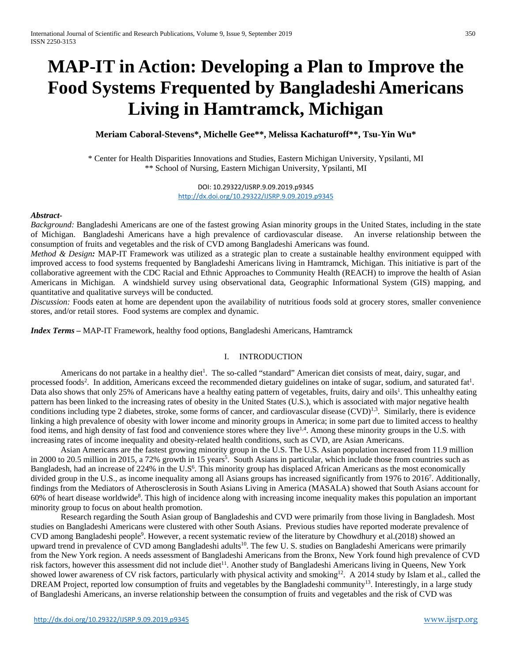# **MAP-IT in Action: Developing a Plan to Improve the Food Systems Frequented by Bangladeshi Americans Living in Hamtramck, Michigan**

**Meriam Caboral-Stevens\*, Michelle Gee\*\*, Melissa Kachaturoff\*\*, Tsu-Yin Wu\***

\* Center for Health Disparities Innovations and Studies, Eastern Michigan University, Ypsilanti, MI \*\* School of Nursing, Eastern Michigan University, Ypsilanti, MI

> DOI: 10.29322/IJSRP.9.09.2019.p9345 <http://dx.doi.org/10.29322/IJSRP.9.09.2019.p9345>

#### *Abstract-*

*Background:* Bangladeshi Americans are one of the fastest growing Asian minority groups in the United States, including in the state of Michigan. Bangladeshi Americans have a high prevalence of cardiovascular disease. An inverse relationship between the consumption of fruits and vegetables and the risk of CVD among Bangladeshi Americans was found.

*Method & Design:* MAP-IT Framework was utilized as a strategic plan to create a sustainable healthy environment equipped with improved access to food systems frequented by Bangladeshi Americans living in Hamtramck, Michigan. This initiative is part of the collaborative agreement with the CDC Racial and Ethnic Approaches to Community Health (REACH) to improve the health of Asian Americans in Michigan. A windshield survey using observational data, Geographic Informational System (GIS) mapping, and quantitative and qualitative surveys will be conducted.

*Discussion:* Foods eaten at home are dependent upon the availability of nutritious foods sold at grocery stores, smaller convenience stores, and/or retail stores. Food systems are complex and dynamic.

*Index Terms –* MAP-IT Framework, healthy food options, Bangladeshi Americans, Hamtramck

## I. INTRODUCTION

Americans do not partake in a healthy diet<sup>1</sup>. The so-called "standard" American diet consists of meat, dairy, sugar, and processed foods<sup>2</sup>. In addition, Americans exceed the recommended dietary guidelines on intake of sugar, sodium, and saturated fat<sup>1</sup>. Data also shows that only 25% of Americans have a healthy eating pattern of vegetables, fruits, dairy and oils<sup>1</sup>. This unhealthy eating pattern has been linked to the increasing rates of obesity in the United States (U.S.), which is associated with major negative health conditions including type 2 diabetes, stroke, some forms of cancer, and cardiovascular disease  $(CVD)^{1,3}$ . Similarly, there is evidence linking a high prevalence of obesity with lower income and minority groups in America; in some part due to limited access to healthy food items, and high density of fast food and convenience stores where they live<sup>1,4</sup>. Among these minority groups in the U.S. with increasing rates of income inequality and obesity-related health conditions, such as CVD, are Asian Americans.

Asian Americans are the fastest growing minority group in the U.S. The U.S. Asian population increased from 11.9 million in 2000 to 20.5 million in 2015, a 72% growth in 15 years<sup>5</sup>. South Asians in particular, which include those from countries such as Bangladesh, had an increase of 224% in the U.S<sup>6</sup>. This minority group has displaced African Americans as the most economically divided group in the U.S., as income inequality among all Asians groups has increased significantly from 1976 to 20167 . Additionally, findings from the Mediators of Atherosclerosis in South Asians Living in America (MASALA) showed that South Asians account for 60% of heart disease worldwide<sup>8</sup>. This high of incidence along with increasing income inequality makes this population an important minority group to focus on about health promotion.

Research regarding the South Asian group of Bangladeshis and CVD were primarily from those living in Bangladesh. Most studies on Bangladeshi Americans were clustered with other South Asians. Previous studies have reported moderate prevalence of CVD among Bangladeshi people<sup>9</sup>. However, a recent systematic review of the literature by Chowdhury et al.(2018) showed an upward trend in prevalence of CVD among Bangladeshi adults<sup>10</sup>. The few U.S. studies on Bangladeshi Americans were primarily from the New York region. A needs assessment of Bangladeshi Americans from the Bronx, New York found high prevalence of CVD risk factors, however this assessment did not include diet<sup>11</sup>. Another study of Bangladeshi Americans living in Queens, New York showed lower awareness of CV risk factors, particularly with physical activity and smoking<sup>12</sup>. A 2014 study by Islam et al., called the DREAM Project, reported low consumption of fruits and vegetables by the Bangladeshi community<sup>13</sup>. Interestingly, in a large study of Bangladeshi Americans, an inverse relationship between the consumption of fruits and vegetables and the risk of CVD was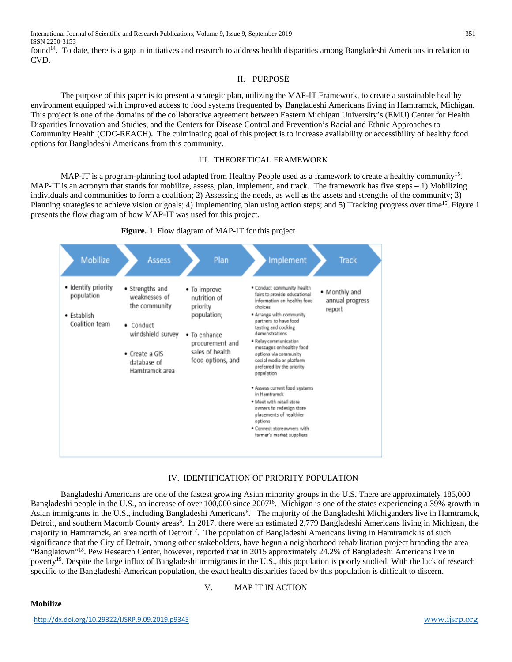International Journal of Scientific and Research Publications, Volume 9, Issue 9, September 2019 351 ISSN 2250-3153

found<sup>14</sup>. To date, there is a gap in initiatives and research to address health disparities among Bangladeshi Americans in relation to CVD.

### II. PURPOSE

The purpose of this paper is to present a strategic plan, utilizing the MAP-IT Framework, to create a sustainable healthy environment equipped with improved access to food systems frequented by Bangladeshi Americans living in Hamtramck, Michigan. This project is one of the domains of the collaborative agreement between Eastern Michigan University's (EMU) Center for Health Disparities Innovation and Studies, and the Centers for Disease Control and Prevention's Racial and Ethnic Approaches to Community Health (CDC-REACH). The culminating goal of this project is to increase availability or accessibility of healthy food options for Bangladeshi Americans from this community.

### III. THEORETICAL FRAMEWORK

MAP-IT is a program-planning tool adapted from Healthy People used as a framework to create a healthy community<sup>15</sup>. MAP-IT is an acronym that stands for mobilize, assess, plan, implement, and track. The framework has five steps – 1) Mobilizing individuals and communities to form a coalition; 2) Assessing the needs, as well as the assets and strengths of the community; 3) Planning strategies to achieve vision or goals; 4) Implementing plan using action steps; and 5) Tracking progress over time<sup>15</sup>. Figure 1 presents the flow diagram of how MAP-IT was used for this project.





## IV. IDENTIFICATION OF PRIORITY POPULATION

Bangladeshi Americans are one of the fastest growing Asian minority groups in the U.S. There are approximately 185,000 Bangladeshi people in the U.S., an increase of over 100,000 since 200716. Michigan is one of the states experiencing a 39% growth in Asian immigrants in the U.S., including Bangladeshi Americans<sup>6</sup>. The majority of the Bangladeshi Michiganders live in Hamtramck, Detroit, and southern Macomb County areas<sup>6</sup>. In 2017, there were an estimated 2,779 Bangladeshi Americans living in Michigan, the majority in Hamtramck, an area north of Detroit<sup>17</sup>. The population of Bangladeshi Americans living in Hamtramck is of such significance that the City of Detroit, among other stakeholders, have begun a neighborhood rehabilitation project branding the area "Banglatown"<sup>18</sup>. Pew Research Center, however, reported that in 2015 approximately 24.2% of Bangladeshi Americans live in poverty<sup>19</sup>. Despite the large influx of Bangladeshi immigrants in the U.S., this population is poorly studied. With the lack of research specific to the Bangladeshi-American population, the exact health disparities faced by this population is difficult to discern.

## V. MAP IT IN ACTION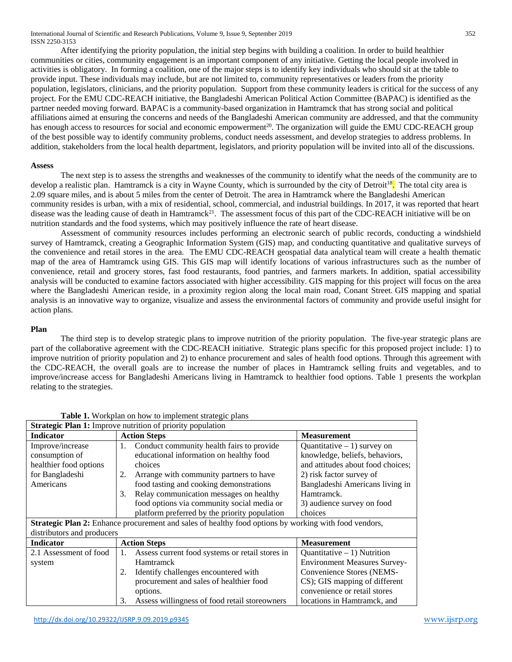International Journal of Scientific and Research Publications, Volume 9, Issue 9, September 2019 352 ISSN 2250-3153

After identifying the priority population, the initial step begins with building a coalition. In order to build healthier communities or cities, community engagement is an important component of any initiative. Getting the local people involved in activities is obligatory. In forming a coalition, one of the major steps is to identify key individuals who should sit at the table to provide input. These individuals may include, but are not limited to, community representatives or leaders from the priority population, legislators, clinicians, and the priority population. Support from these community leaders is critical for the success of any project. For the EMU CDC-REACH initiative, the Bangladeshi American Political Action Committee (BAPAC) is identified as the partner needed moving forward. BAPACis a community-based organization in Hamtramck that has strong social and political affiliations aimed at ensuring the concerns and needs of the Bangladeshi American community are addressed, and that the community has enough access to resources for social and economic empowerment<sup>20</sup>. The organization will guide the EMU CDC-REACH group of the best possible way to identify community problems, conduct needs assessment, and develop strategies to address problems. In addition, stakeholders from the local health department, legislators, and priority population will be invited into all of the discussions.

#### **Assess**

The next step is to assess the strengths and weaknesses of the community to identify what the needs of the community are to develop a realistic plan. Hamtramck is a city in Wayne County, which is surrounded by the city of Detroit<sup>18</sup>. The total city area is 2.09 square miles, and is about 5 miles from the center of Detroit. The area in Hamtramck where the Bangladeshi American community resides is urban, with a mix of residential, school, commercial, and industrial buildings. In 2017, it was reported that heart disease was the leading cause of death in Hamtramck<sup>21</sup>. The assessment focus of this part of the CDC-REACH initiative will be on nutrition standards and the food systems, which may positively influence the rate of heart disease.

Assessment of community resources includes performing an electronic search of public records, conducting a windshield survey of Hamtramck, creating a Geographic Information System (GIS) map, and conducting quantitative and qualitative surveys of the convenience and retail stores in the area. The EMU CDC-REACH geospatial data analytical team will create a health thematic map of the area of Hamtramck using GIS. This GIS map will identify locations of various infrastructures such as the number of convenience, retail and grocery stores, fast food restaurants, food pantries, and farmers markets. In addition, spatial accessibility analysis will be conducted to examine factors associated with higher accessibility. GIS mapping for this project will focus on the area where the Bangladeshi American reside, in a proximity region along the local main road, Conant Street. GIS mapping and spatial analysis is an innovative way to organize, visualize and assess the environmental factors of community and provide useful insight for action plans.

### **Plan**

The third step is to develop strategic plans to improve nutrition of the priority population. The five-year strategic plans are part of the collaborative agreement with the CDC-REACH initiative. Strategic plans specific for this proposed project include: 1) to improve nutrition of priority population and 2) to enhance procurement and sales of health food options. Through this agreement with the CDC-REACH, the overall goals are to increase the number of places in Hamtramck selling fruits and vegetables, and to improve/increase access for Bangladeshi Americans living in Hamtramck to healthier food options. Table 1 presents the workplan relating to the strategies.

| <b>Strategic Plan 1:</b> Improve nutrition of priority population                                     |                                                       |                                     |  |  |  |
|-------------------------------------------------------------------------------------------------------|-------------------------------------------------------|-------------------------------------|--|--|--|
| <b>Indicator</b>                                                                                      | <b>Action Steps</b>                                   | <b>Measurement</b>                  |  |  |  |
| Improve/increase                                                                                      | Conduct community health fairs to provide<br>1.       | Quantitative $-1$ ) survey on       |  |  |  |
| consumption of                                                                                        | educational information on healthy food               | knowledge, beliefs, behaviors,      |  |  |  |
| healthier food options                                                                                | choices                                               | and attitudes about food choices;   |  |  |  |
| for Bangladeshi                                                                                       | Arrange with community partners to have<br>2.         | 2) risk factor survey of            |  |  |  |
| Americans                                                                                             | food tasting and cooking demonstrations               | Bangladeshi Americans living in     |  |  |  |
|                                                                                                       | Relay communication messages on healthy<br>3.         | Hamtramck.                          |  |  |  |
|                                                                                                       | food options via community social media or            | 3) audience survey on food          |  |  |  |
|                                                                                                       | platform preferred by the priority population         | choices                             |  |  |  |
| Strategic Plan 2: Enhance procurement and sales of healthy food options by working with food vendors, |                                                       |                                     |  |  |  |
| distributors and producers                                                                            |                                                       |                                     |  |  |  |
| <b>Indicator</b>                                                                                      | <b>Action Steps</b>                                   | <b>Measurement</b>                  |  |  |  |
| 2.1 Assessment of food                                                                                | Assess current food systems or retail stores in<br>1. | Quantitative $-1$ ) Nutrition       |  |  |  |
| system                                                                                                | <b>Hamtramck</b>                                      | <b>Environment Measures Survey-</b> |  |  |  |
|                                                                                                       | Identify challenges encountered with                  | Convenience Stores (NEMS-           |  |  |  |
|                                                                                                       | procurement and sales of healthier food               | CS); GIS mapping of different       |  |  |  |
|                                                                                                       | options.                                              | convenience or retail stores        |  |  |  |
|                                                                                                       | Assess willingness of food retail storeowners<br>3.   | locations in Hamtramck, and         |  |  |  |

**Table 1.** Workplan on how to implement strategic plans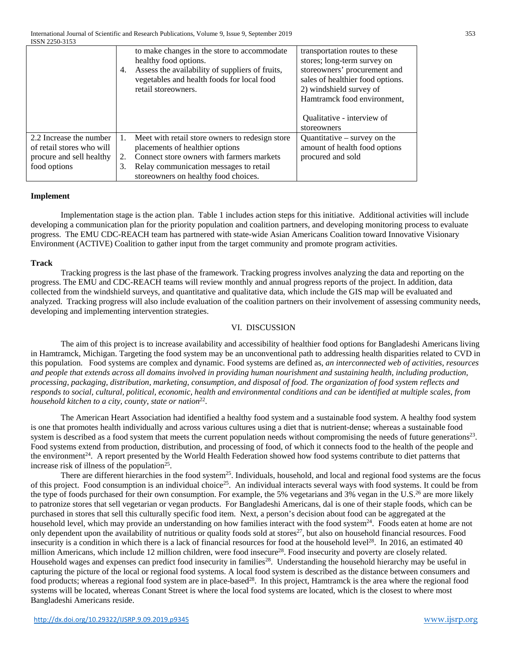|                           | 4. | to make changes in the store to accommodate<br>healthy food options.<br>Assess the availability of suppliers of fruits,<br>vegetables and health foods for local food<br>retail storeowners. | transportation routes to these<br>stores; long-term survey on<br>storeowners' procurement and<br>sales of healthier food options.<br>2) windshield survey of<br>Hamtramck food environment, |
|---------------------------|----|----------------------------------------------------------------------------------------------------------------------------------------------------------------------------------------------|---------------------------------------------------------------------------------------------------------------------------------------------------------------------------------------------|
|                           |    |                                                                                                                                                                                              | Qualitative - interview of                                                                                                                                                                  |
|                           |    |                                                                                                                                                                                              | storeowners                                                                                                                                                                                 |
| 2.2 Increase the number   | 1. | Meet with retail store owners to redesign store                                                                                                                                              | Quantitative $-$ survey on the                                                                                                                                                              |
| of retail stores who will |    | placements of healthier options                                                                                                                                                              | amount of health food options                                                                                                                                                               |
| procure and sell healthy  | 2. | Connect store owners with farmers markets                                                                                                                                                    | procured and sold                                                                                                                                                                           |
| food options              | 3. | Relay communication messages to retail                                                                                                                                                       |                                                                                                                                                                                             |
|                           |    | storeowners on healthy food choices.                                                                                                                                                         |                                                                                                                                                                                             |

### **Implement**

Implementation stage is the action plan. Table 1 includes action steps for this initiative. Additional activities will include developing a communication plan for the priority population and coalition partners, and developing monitoring process to evaluate progress. The EMU CDC-REACH team has partnered with state-wide Asian Americans Coalition toward Innovative Visionary Environment (ACTIVE) Coalition to gather input from the target community and promote program activities.

### **Track**

Tracking progress is the last phase of the framework. Tracking progress involves analyzing the data and reporting on the progress. The EMU and CDC-REACH teams will review monthly and annual progress reports of the project. In addition, data collected from the windshield surveys, and quantitative and qualitative data, which include the GIS map will be evaluated and analyzed. Tracking progress will also include evaluation of the coalition partners on their involvement of assessing community needs, developing and implementing intervention strategies.

## VI. DISCUSSION

The aim of this project is to increase availability and accessibility of healthier food options for Bangladeshi Americans living in Hamtramck, Michigan. Targeting the food system may be an unconventional path to addressing health disparities related to CVD in this population. Food systems are complex and dynamic. Food systems are defined as, *an interconnected web of activities, resources and people that extends across all domains involved in providing human nourishment and sustaining health, including production, processing, packaging, distribution, marketing, consumption, and disposal of food. The organization of food system reflects and responds to social, cultural, political, economic, health and environmental conditions and can be identified at multiple scales, from household kitchen to a city, county, state or nation*<sup>22</sup>.

The American Heart Association had identified a healthy food system and a sustainable food system. A healthy food system is one that promotes health individually and across various cultures using a diet that is nutrient-dense; whereas a sustainable food system is described as a food system that meets the current population needs without compromising the needs of future generations<sup>23</sup>. Food systems extend from production, distribution, and processing of food, of which it connects food to the health of the people and the environment<sup>24</sup>. A report presented by the World Health Federation showed how food systems contribute to diet patterns that increase risk of illness of the population<sup>25</sup>.

There are different hierarchies in the food system<sup>25</sup>. Individuals, household, and local and regional food systems are the focus of this project. Food consumption is an individual choice25. An individual interacts several ways with food systems. It could be from the type of foods purchased for their own consumption. For example, the 5% vegetarians and 3% vegan in the U.S.<sup>26</sup> are more likely to patronize stores that sell vegetarian or vegan products. For Bangladeshi Americans, dal is one of their staple foods, which can be purchased in stores that sell this culturally specific food item. Next, a person's decision about food can be aggregated at the household level, which may provide an understanding on how families interact with the food system<sup>24</sup>. Foods eaten at home are not only dependent upon the availability of nutritious or quality foods sold at stores<sup>27</sup>, but also on household financial resources. Food insecurity is a condition in which there is a lack of financial resources for food at the household level<sup>28</sup>. In 2016, an estimated 40 million Americans, which include 12 million children, were food insecure<sup>28</sup>. Food insecurity and poverty are closely related. Household wages and expenses can predict food insecurity in families<sup>28</sup>. Understanding the household hierarchy may be useful in capturing the picture of the local or regional food systems. A local food system is described as the distance between consumers and food products; whereas a regional food system are in place-based<sup>28</sup>. In this project, Hamtramck is the area where the regional food systems will be located, whereas Conant Street is where the local food systems are located, which is the closest to where most Bangladeshi Americans reside.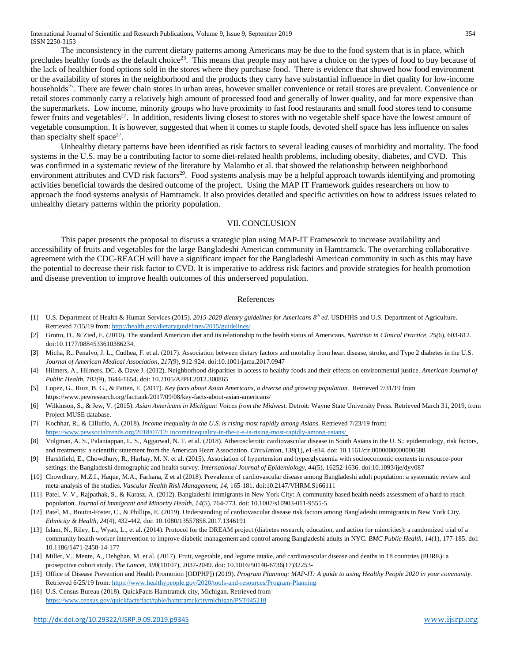International Journal of Scientific and Research Publications, Volume 9, Issue 9, September 2019 354 ISSN 2250-3153

The inconsistency in the current dietary patterns among Americans may be due to the food system that is in place, which precludes healthy foods as the default choice<sup>23</sup>. This means that people may not have a choice on the types of food to buy because of the lack of healthier food options sold in the stores where they purchase food. There is evidence that showed how food environment or the availability of stores in the neighborhood and the products they carry have substantial influence in diet quality for low-income households<sup>27</sup>. There are fewer chain stores in urban areas, however smaller convenience or retail stores are prevalent. Convenience or retail stores commonly carry a relatively high amount of processed food and generally of lower quality, and far more expensive than the supermarkets. Low income, minority groups who have proximity to fast food restaurants and small food stores tend to consume fewer fruits and vegetables<sup>27</sup>. In addition, residents living closest to stores with no vegetable shelf space have the lowest amount of vegetable consumption. It is however, suggested that when it comes to staple foods, devoted shelf space has less influence on sales than specialty shelf space<sup>27</sup>.

Unhealthy dietary patterns have been identified as risk factors to several leading causes of morbidity and mortality. The food systems in the U.S. may be a contributing factor to some diet-related health problems, including obesity, diabetes, and CVD. This was confirmed in a systematic review of the literature by Malambo et al. that showed the relationship between neighborhood environment attributes and CVD risk factors<sup>29</sup>. Food systems analysis may be a helpful approach towards identifying and promoting activities beneficial towards the desired outcome of the project. Using the MAP IT Framework guides researchers on how to approach the food systems analysis of Hamtramck. It also provides detailed and specific activities on how to address issues related to unhealthy dietary patterns within the priority population.

#### VII.CONCLUSION

This paper presents the proposal to discuss a strategic plan using MAP-IT Framework to increase availability and accessibility of fruits and vegetables for the large Bangladeshi American community in Hamtramck. The overarching collaborative agreement with the CDC-REACH will have a significant impact for the Bangladeshi American community in such as this may have the potential to decrease their risk factor to CVD. It is imperative to address risk factors and provide strategies for health promotion and disease prevention to improve health outcomes of this underserved population.

#### References

- [1] U.S. Department of Health & Human Services (2015). *2015-2020 dietary guidelines for Americans 8th ed.* USDHHS and U.S. Department of Agriculture. Retrieved 7/15/19 from:<http://health.gov/dietaryguidelines/2015/guidelines/>
- [2] Grotto, D., & Zied, E. (2010). The standard American diet and its relationship to the health status of Americans. *Nutrition in Clinical Practice, 25(*6), 603-612. doi:10.1177/0884533610386234.
- [3] Micha, R., Penalvo, J. L., Cudhea, F. et al. (2017). Association between dietary factors and mortality from heart disease, stroke, and Type 2 diabetes in the U.S. *Journal of American Medical Association, 217(*9), 912-924. doi:10.1001/jama.2017.0947
- [4] Hilmers, A., Hilmers, DC. & Dave J. (2012). Neighborhood disparities in access to healthy foods and their effects on environmental justice. *American Journal of Public Health, 102(*9), 1644-1654. doi: [10.2105/AJPH.2012.300865](https://dx.doi.org/10.2105%2FAJPH.2012.300865)
- [5] Lopez, G., Ruiz, B. G., & Patten, E. (2017). *Key facts about Asian Americans, a diverse and growing population.* Retrieved 7/31/19 from <https://www.pewresearch.org/facttank/2017/09/08/key-facts-about-asian-americans/>
- [6] Wilkinson, S., & Jew, V. (2015). *Asian Americans in Michigan: Voices from the Midwest.* Detroit: Wayne State University Press. Retrieved March 31, 2019, from Project MUSE database.
- [7] Kochhar, R., & Cilluffo, A. (2018). *Income inequality in the U.S. is rising most rapidly among Asians.* Retrieved 7/23/19 from: [https://www.pewsocialtrends.org/2018/07/12/ incomeinequality-in-the-u-s-is-rising-most-rapidly-among-asians/](https://www.pewsocialtrends.org/2018/07/12/%20incomeinequality-in-the-u-s-is-rising-most-rapidly-among-asians/)
- [8] Volgman, A. S., Palaniappan, L. S., Aggarwal, N. T. et al. (2018). Atherosclerotic cardiovascular disease in South Asians in the U. S.: epidemiology, risk factors, and treatments: a scientific statement from the American Heart Association. *Circulation, 138*(1), e1-e34. doi: 10.1161/cir.0000000000000580
- [9] Harshfield, E., Chowdhury, R., Harhay, M. N. et al. (2015). Association of hypertension and hyperglycaemia with socioeconomic contexts in resource-poor settings: the Bangladeshi demographic and health survey. *International Journal of Epidemiology, 44*(5), 16252-1636. doi:10.1093/ije/dyv087
- [10] Chowdhury, M.Z.I., Haque, M.A., Farhana, Z et al (2018). Prevalence of cardiovascular disease among Bangladeshi adult population: a systematic review and meta-analysis of the studies. *Vascular Health Risk Management, 14,* 165-181. doi:10.2147/VHRM.S166111
- [11] Patel, V. V., Rajpathak, S., & Karasz, A. (2012). Bangladeshi immigrants in New York City: A community based health needs assessment of a hard to reach population. *Journal of Immigrant and Minority Health, 14*(5), 764-773. doi: 10.1007/s10903-011-9555-5
- [12] Patel, M., Boutin-Foster, C., & Phillips, E. (2019). Understanding of cardiovascular disease risk factors among Bangladeshi immigrants in New York City. *Ethnicity & Health, 24*(4), 432-442, doi: 10.1080/13557858.2017.1346191
- [13] Islam, N., Riley, L., Wyatt, L., et al. (2014). Protocol for the DREAM project (diabetes research, education, and action for minorities): a randomized trial of a community health worker intervention to improve diabetic management and control among Bangladeshi adults in NYC. *BMC Public Health, 14*(1), 177-185. doi: 10.1186/1471-2458-14-177
- [14] Miller, V., Mente, A., Dehghan, M. et al. (2017). Fruit, vegetable, and legume intake, and cardiovascular disease and deaths in 18 countries (PURE): a prosepctive cohort study. *The Lancet, 390*(10107), 2037-2049. doi: 10.1016/50140-6736(17)32253-
- [15] Office of Disease Prevention and Health Promotion [ODPHP]) (2019). *Program Planning: MAP-IT: A guide to using Healthy People 2020 in your community.* Retrieved 6/25/19 from:<https://www.healthypeople.gov/2020/tools-and-resources/Program-Planning>
- [16] U.S. Census Bureau (2018). QuickFacts Hamtramck city, Michigan. Retrieved from <https://www.census.gov/quickfacts/fact/table/hamtramckcitymichigan/PST045218>